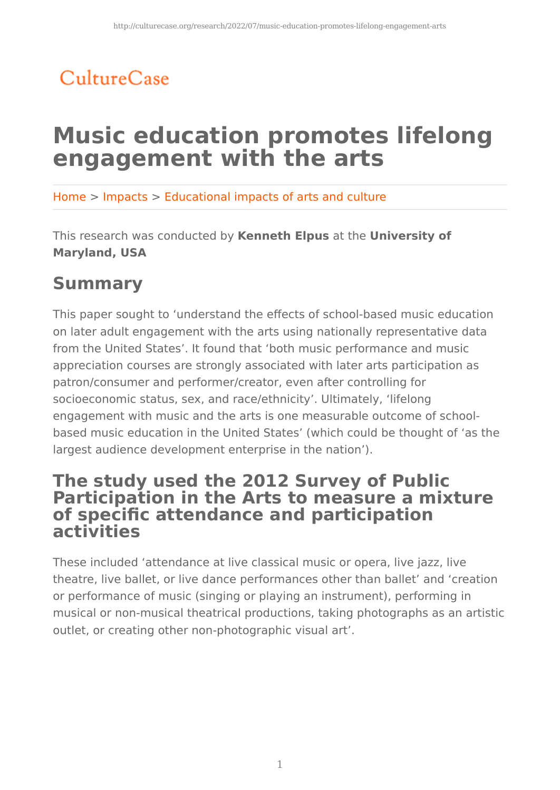## CultureCase

# **Music education promotes lifelong engagement with the arts**

Home > Impacts > Educational impacts of arts and culture

This research was conducted by **Kenneth Elpus** at the **University of Maryland, USA**

## **Summary**

This paper sought to 'understand the effects of school-based music education on later adult engagement with the arts using nationally representative data from the United States'. It found that 'both music performance and music appreciation courses are strongly associated with later arts participation as patron/consumer and performer/creator, even after controlling for socioeconomic status, sex, and race/ethnicity'. Ultimately, 'lifelong engagement with music and the arts is one measurable outcome of schoolbased music education in the United States' (which could be thought of 'as the largest audience development enterprise in the nation').

### **The study used the 2012 Survey of Public Participation in the Arts to measure a mixture of specific attendance and participation activities**

These included 'attendance at live classical music or opera, live jazz, live theatre, live ballet, or live dance performances other than ballet' and 'creation or performance of music (singing or playing an instrument), performing in musical or non-musical theatrical productions, taking photographs as an artistic outlet, or creating other non-photographic visual art'.